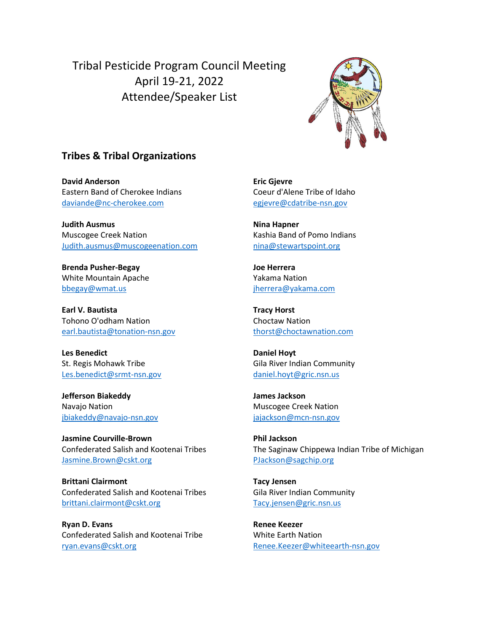Tribal Pesticide Program Council Meeting April 19-21, 2022 Attendee/Speaker List



## Tribes & Tribal Organizations

David Anderson Eastern Band of Cherokee Indians daviande@nc-cherokee.com

Judith Ausmus Muscogee Creek Nation Judith.ausmus@muscogeenation.com

Brenda Pusher-Begay White Mountain Apache bbegay@wmat.us

Earl V. Bautista Tohono O'odham Nation earl.bautista@tonation-nsn.gov

Les Benedict St. Regis Mohawk Tribe Les.benedict@srmt-nsn.gov

Jefferson Biakeddy Navajo Nation jbiakeddy@navajo-nsn.gov

Jasmine Courville-Brown Confederated Salish and Kootenai Tribes Jasmine.Brown@cskt.org

Brittani Clairmont Confederated Salish and Kootenai Tribes brittani.clairmont@cskt.org

Ryan D. Evans Confederated Salish and Kootenai Tribe ryan.evans@cskt.org

Eric Gjevre Coeur d'Alene Tribe of Idaho egjevre@cdatribe-nsn.gov

Nina Hapner Kashia Band of Pomo Indians nina@stewartspoint.org

Joe Herrera Yakama Nation jherrera@yakama.com

Tracy Horst Choctaw Nation thorst@choctawnation.com

Daniel Hoyt Gila River Indian Community daniel.hoyt@gric.nsn.us

James Jackson Muscogee Creek Nation jajackson@mcn-nsn.gov

Phil Jackson The Saginaw Chippewa Indian Tribe of Michigan PJackson@sagchip.org

Tacy Jensen Gila River Indian Community Tacy.jensen@gric.nsn.us

Renee Keezer White Earth Nation Renee.Keezer@whiteearth-nsn.gov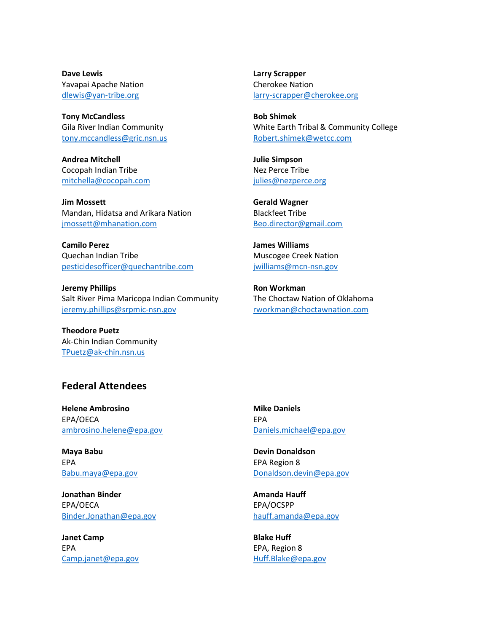Dave Lewis Yavapai Apache Nation dlewis@yan-tribe.org

Tony McCandless Gila River Indian Community tony.mccandless@gric.nsn.us

Andrea Mitchell Cocopah Indian Tribe mitchella@cocopah.com

Jim Mossett Mandan, Hidatsa and Arikara Nation jmossett@mhanation.com

Camilo Perez Quechan Indian Tribe pesticidesofficer@quechantribe.com

Jeremy Phillips Salt River Pima Maricopa Indian Community jeremy.phillips@srpmic-nsn.gov

Theodore Puetz Ak-Chin Indian Community TPuetz@ak-chin.nsn.us

Larry Scrapper Cherokee Nation larry-scrapper@cherokee.org

Bob Shimek White Earth Tribal & Community College Robert.shimek@wetcc.com

Julie Simpson Nez Perce Tribe julies@nezperce.org

Gerald Wagner Blackfeet Tribe Beo.director@gmail.com

James Williams Muscogee Creek Nation jwilliams@mcn-nsn.gov

Ron Workman The Choctaw Nation of Oklahoma rworkman@choctawnation.com

## Federal Attendees

Helene Ambrosino EPA/OECA ambrosino.helene@epa.gov

Maya Babu EPA Babu.maya@epa.gov

Jonathan Binder EPA/OECA Binder.Jonathan@epa.gov

Janet Camp EPA Camp.janet@epa.gov Mike Daniels EPA Daniels.michael@epa.gov

Devin Donaldson EPA Region 8 Donaldson.devin@epa.gov

Amanda Hauff EPA/OCSPP hauff.amanda@epa.gov

Blake Huff EPA, Region 8 Huff.Blake@epa.gov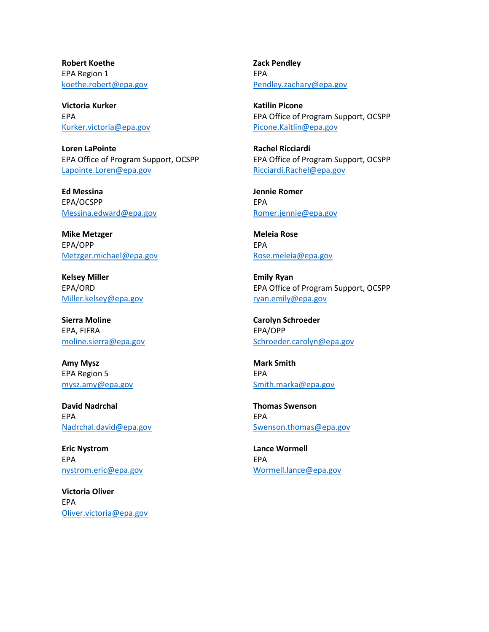Robert Koethe EPA Region 1 koethe.robert@epa.gov

Victoria Kurker EPA Kurker.victoria@epa.gov

Loren LaPointe EPA Office of Program Support, OCSPP Lapointe.Loren@epa.gov

Ed Messina EPA/OCSPP Messina.edward@epa.gov

Mike Metzger EPA/OPP Metzger.michael@epa.gov

Kelsey Miller EPA/ORD Miller.kelsey@epa.gov

Sierra Moline EPA, FIFRA moline.sierra@epa.gov

Amy Mysz EPA Region 5 mysz.amy@epa.gov

David Nadrchal EPA Nadrchal.david@epa.gov

Eric Nystrom EPA nystrom.eric@epa.gov

Victoria Oliver EPA Oliver.victoria@epa.gov Zack Pendley EPA Pendley.zachary@epa.gov

Katilin Picone EPA Office of Program Support, OCSPP Picone.Kaitlin@epa.gov

Rachel Ricciardi EPA Office of Program Support, OCSPP Ricciardi.Rachel@epa.gov

Jennie Romer EPA Romer.jennie@epa.gov

Meleia Rose EPA Rose.meleia@epa.gov

Emily Ryan EPA Office of Program Support, OCSPP ryan.emily@epa.gov

Carolyn Schroeder EPA/OPP Schroeder.carolyn@epa.gov

Mark Smith EPA Smith.marka@epa.gov

Thomas Swenson EPA Swenson.thomas@epa.gov

Lance Wormell EPA Wormell.lance@epa.gov